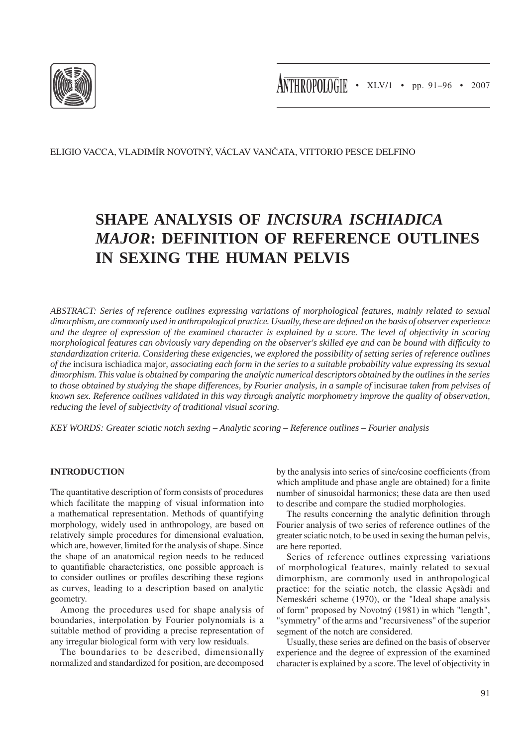

ELIGIO VACCA, VLADIMÍR NOVOTNÝ, VÁCLAV VANČATA, VITTORIO PESCE DELFINO

# **SHAPE ANALYSIS OF** *INCISURA ISCHIADICA MAJOR***: DEFINITION OF REFERENCE OUTLINES IN SEXING THE HUMAN PELVIS**

*ABSTRACT: Series of reference outlines expressing variations of morphological features, mainly related to sexual dimorphism, are commonly used in anthropological practice. Usually, these are defined on the basis of observer experience and the degree of expression of the examined character is explained by a score. The level of objectivity in scoring morphological features can obviously vary depending on the observer's skilled eye and can be bound with difficulty to standardization criteria. Considering these exigencies, we explored the possibility of setting series of reference outlines of the* incisura ischiadica major*, associating each form in the series to a suitable probability value expressing its sexual dimorphism. This value is obtained by comparing the analytic numerical descriptors obtained by the outlines in the series to those obtained by studying the shape differences, by Fourier analysis, in a sample of incisurae taken from pelvises of known sex. Reference outlines validated in this way through analytic morphometry improve the quality of observation, reducing the level of subjectivity of traditional visual scoring.*

*KEY WORDS: Greater sciatic notch sexing – Analytic scoring – Reference outlines – Fourier analysis*

## **INTRODUCTION**

The quantitative description of form consists of procedures which facilitate the mapping of visual information into a mathematical representation. Methods of quantifying morphology, widely used in anthropology, are based on relatively simple procedures for dimensional evaluation, which are, however, limited for the analysis of shape. Since the shape of an anatomical region needs to be reduced to quantifiable characteristics, one possible approach is to consider outlines or profiles describing these regions as curves, leading to a description based on analytic geometry.

Among the procedures used for shape analysis of boundaries, interpolation by Fourier polynomials is a suitable method of providing a precise representation of any irregular biological form with very low residuals.

The boundaries to be described, dimensionally normalized and standardized for position, are decomposed by the analysis into series of sine/cosine coefficients (from which amplitude and phase angle are obtained) for a finite number of sinusoidal harmonics; these data are then used to describe and compare the studied morphologies.

The results concerning the analytic definition through Fourier analysis of two series of reference outlines of the greater sciatic notch, to be used in sexing the human pelvis, are here reported.

Series of reference outlines expressing variations of morphological features, mainly related to sexual dimorphism, are commonly used in anthropological practice: for the sciatic notch, the classic Açsàdi and Nemeskéri scheme (1970), or the "Ideal shape analysis of form" proposed by Novotný (1981) in which "length", "symmetry" of the arms and "recursiveness" of the superior segment of the notch are considered.

Usually, these series are defined on the basis of observer experience and the degree of expression of the examined character is explained by a score. The level of objectivity in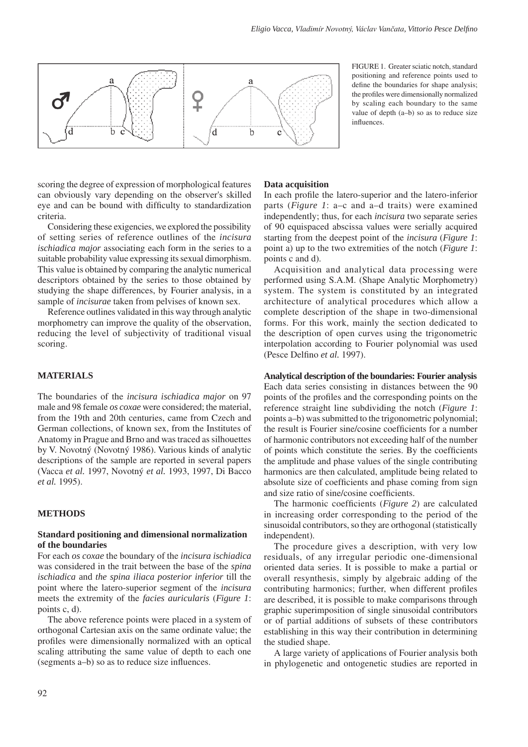

FIGURE 1. Greater sciatic notch, standard positioning and reference points used to define the boundaries for shape analysis; the profiles were dimensionally normalized by scaling each boundary to the same value of depth (a–b) so as to reduce size influences.

scoring the degree of expression of morphological features can obviously vary depending on the observer's skilled eye and can be bound with difficulty to standardization criteria.

Considering these exigencies, we explored the possibility of setting series of reference outlines of the *incisura ischiadica major* associating each form in the series to a suitable probability value expressing its sexual dimorphism. This value is obtained by comparing the analytic numerical descriptors obtained by the series to those obtained by studying the shape differences, by Fourier analysis, in a sample of *incisurae* taken from pelvises of known sex.

Reference outlines validated in this way through analytic morphometry can improve the quality of the observation, reducing the level of subjectivity of traditional visual scoring.

## **MATERIALS**

The boundaries of the *incisura ischiadica major* on 97 male and 98 female *os coxae* were considered; the material, from the 19th and 20th centuries, came from Czech and German collections, of known sex, from the Institutes of Anatomy in Prague and Brno and was traced as silhouettes by V. Novotný (Novotný 1986). Various kinds of analytic descriptions of the sample are reported in several papers (Vacca *et al.* 1997, Novotný *et al.* 1993, 1997, Di Bacco *et al.* 1995).

#### **METHODS**

#### **Standard positioning and dimensional normalization of the boundaries**

For each *os coxae* the boundary of the *incisura ischiadica* was considered in the trait between the base of the *spina ischiadica* and *the spina iliaca posterior inferior* till the point where the latero-superior segment of the *incisura* meets the extremity of the *facies auricularis* (*Figure 1*: points c, d).

The above reference points were placed in a system of orthogonal Cartesian axis on the same ordinate value; the profiles were dimensionally normalized with an optical scaling attributing the same value of depth to each one (segments a–b) so as to reduce size influences.

#### **Data acquisition**

In each profile the latero-superior and the latero-inferior parts (*Figure 1*: a–c and a–d traits) were examined independently; thus, for each *incisura* two separate series of 90 equispaced abscissa values were serially acquired starting from the deepest point of the *incisura* (*Figure 1*: point a) up to the two extremities of the notch (*Figure 1*: points c and d).

Acquisition and analytical data processing were performed using S.A.M. (Shape Analytic Morphometry) system. The system is constituted by an integrated architecture of analytical procedures which allow a complete description of the shape in two-dimensional forms. For this work, mainly the section dedicated to the description of open curves using the trigonometric interpolation according to Fourier polynomial was used (Pesce Delfino *et al.* 1997).

**Analytical description of the boundaries: Fourier analysis** Each data series consisting in distances between the 90 points of the profiles and the corresponding points on the reference straight line subdividing the notch (*Figure 1*: points a–b) was submitted to the trigonometric polynomial; the result is Fourier sine/cosine coefficients for a number of harmonic contributors not exceeding half of the number of points which constitute the series. By the coefficients the amplitude and phase values of the single contributing harmonics are then calculated, amplitude being related to absolute size of coefficients and phase coming from sign and size ratio of sine/cosine coefficients.

The harmonic coefficients (*Figure 2*) are calculated in increasing order corresponding to the period of the sinusoidal contributors, so they are orthogonal (statistically independent).

The procedure gives a description, with very low residuals, of any irregular periodic one-dimensional oriented data series. It is possible to make a partial or overall resynthesis, simply by algebraic adding of the contributing harmonics; further, when different profiles are described, it is possible to make comparisons through graphic superimposition of single sinusoidal contributors or of partial additions of subsets of these contributors establishing in this way their contribution in determining the studied shape.

A large variety of applications of Fourier analysis both in phylogenetic and ontogenetic studies are reported in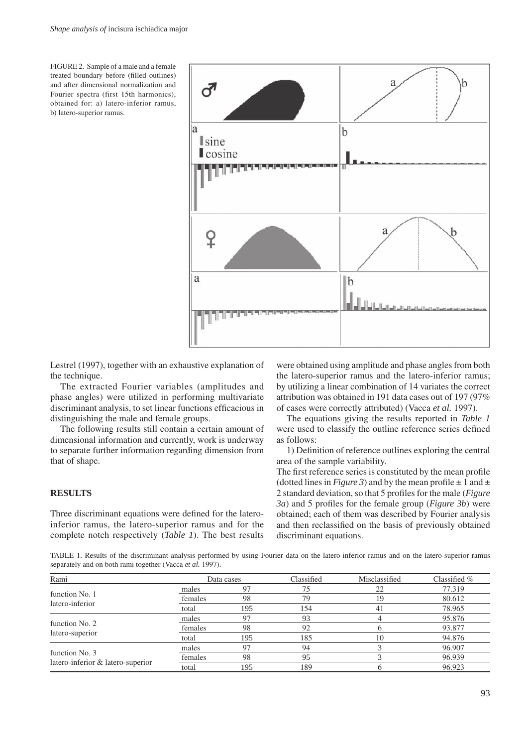FIGURE 2. Sample of a male and a female treated boundary before (filled outlines) and after dimensional normalization and Fourier spectra (first 15th harmonics), obtained for: a) latero-inferior ramus, b) latero-superior ramus.



Lestrel (1997), together with an exhaustive explanation of the technique.

The extracted Fourier variables (amplitudes and phase angles) were utilized in performing multivariate discriminant analysis, to set linear functions efficacious in distinguishing the male and female groups.

The following results still contain a certain amount of dimensional information and currently, work is underway to separate further information regarding dimension from that of shape.

### **RESULTS**

Three discriminant equations were defined for the lateroinferior ramus, the latero-superior ramus and for the complete notch respectively (*Table 1*). The best results were obtained using amplitude and phase angles from both the latero-superior ramus and the latero-inferior ramus; by utilizing a linear combination of 14 variates the correct attribution was obtained in 191 data cases out of 197 (97% of cases were correctly attributed) (Vacca *et al.* 1997).

The equations giving the results reported in *Table 1* were used to classify the outline reference series defined as follows:

1) Definition of reference outlines exploring the central area of the sample variability.

The first reference series is constituted by the mean profile (dotted lines in *Figure 3*) and by the mean profile  $\pm 1$  and  $\pm$ 2 standard deviation, so that 5 profiles for the male (*Figure 3a*) and 5 profiles for the female group (*Figure 3b*) were obtained; each of them was described by Fourier analysis and then reclassified on the basis of previously obtained discriminant equations.

TABLE 1. Results of the discriminant analysis performed by using Fourier data on the latero-inferior ramus and on the latero-superior ramus separately and on both rami together (Vacca *et al.* 1997).

| Rami                                                | Data cases |     | Classified | Misclassified | Classified $%$ |
|-----------------------------------------------------|------------|-----|------------|---------------|----------------|
| function No. 1<br>latero-inferior                   | males      | 97  | 75         | 22            | 77.319         |
|                                                     | females    | 98  | 79         | 19            | 80.612         |
|                                                     | total      | 195 | 154        | 41            | 78.965         |
| function No. 2<br>latero-superior                   | males      |     | 93         |               | 95.876         |
|                                                     | females    | 98  | 92         |               | 93.877         |
|                                                     | total      | 195 | 185        | 10            | 94.876         |
| function No. 3<br>latero-inferior & latero-superior | males      | 97  | 94         |               | 96.907         |
|                                                     | females    | 98  | 95         |               | 96.939         |
|                                                     | total      | 195 | 189        |               | 96.923         |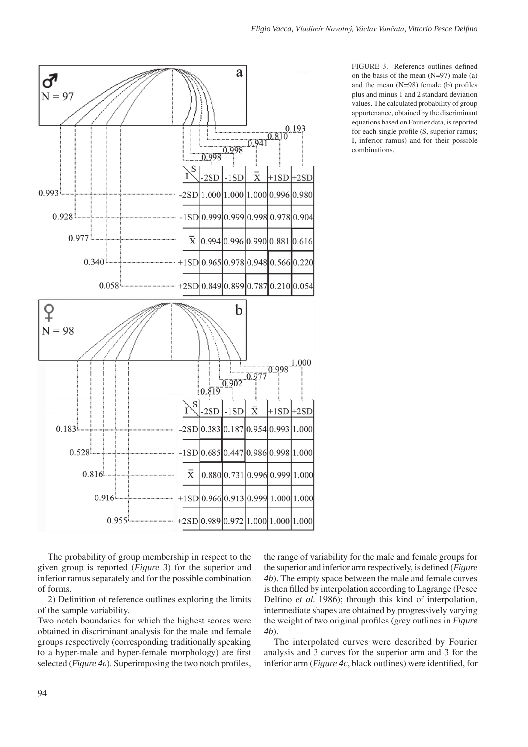

FIGURE 3. Reference outlines defined on the basis of the mean  $(N=97)$  male (a) and the mean (N=98) female (b) profiles plus and minus 1 and 2 standard deviation values. The calculated probability of group appurtenance, obtained by the discriminant equations based on Fourier data, is reported for each single profile (S, superior ramus; I, inferior ramus) and for their possible combinations.

The probability of group membership in respect to the given group is reported (*Figure 3*) for the superior and inferior ramus separately and for the possible combination of forms.

2) Definition of reference outlines exploring the limits of the sample variability.

Two notch boundaries for which the highest scores were obtained in discriminant analysis for the male and female groups respectively (corresponding traditionally speaking to a hyper-male and hyper-female morphology) are first selected (*Figure 4a*). Superimposing the two notch profiles,

the range of variability for the male and female groups for the superior and inferior arm respectively, is defined (*Figure 4b*). The empty space between the male and female curves is then filled by interpolation according to Lagrange (Pesce Delfino *et al.* 1986); through this kind of interpolation, intermediate shapes are obtained by progressively varying the weight of two original profiles (grey outlines in *Figure 4b*).

The interpolated curves were described by Fourier analysis and 3 curves for the superior arm and 3 for the inferior arm (*Figure 4c*, black outlines) were identified, for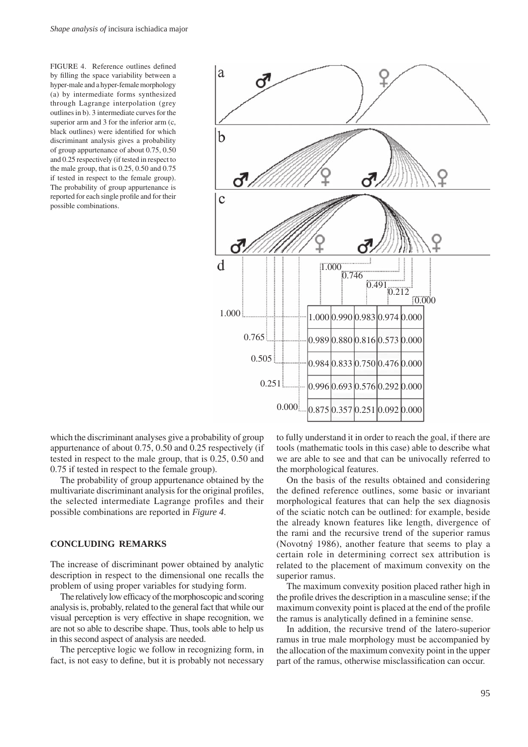FIGURE 4. Reference outlines defined by filling the space variability between a hyper-male and a hyper-female morphology (a) by intermediate forms synthesized through Lagrange interpolation (grey outlines in b). 3 intermediate curves for the superior arm and 3 for the inferior arm (c, black outlines) were identified for which discriminant analysis gives a probability of group appurtenance of about 0.75, 0.50 and 0.25 respectively (if tested in respect to the male group, that is 0.25, 0.50 and 0.75 if tested in respect to the female group). The probability of group appurtenance is reported for each single profile and for their possible combinations.



which the discriminant analyses give a probability of group appurtenance of about 0.75, 0.50 and 0.25 respectively (if tested in respect to the male group, that is 0.25, 0.50 and 0.75 if tested in respect to the female group).

The probability of group appurtenance obtained by the multivariate discriminant analysis for the original profiles, the selected intermediate Lagrange profiles and their possible combinations are reported in *Figure 4*.

## **CONCLUDING REMARKS**

The increase of discriminant power obtained by analytic description in respect to the dimensional one recalls the problem of using proper variables for studying form.

The relatively low efficacy of the morphoscopic and scoring analysis is, probably, related to the general fact that while our visual perception is very effective in shape recognition, we are not so able to describe shape. Thus, tools able to help us in this second aspect of analysis are needed.

The perceptive logic we follow in recognizing form, in fact, is not easy to define, but it is probably not necessary to fully understand it in order to reach the goal, if there are tools (mathematic tools in this case) able to describe what we are able to see and that can be univocally referred to the morphological features.

On the basis of the results obtained and considering the defined reference outlines, some basic or invariant morphological features that can help the sex diagnosis of the sciatic notch can be outlined: for example, beside the already known features like length, divergence of the rami and the recursive trend of the superior ramus (Novotný 1986), another feature that seems to play a certain role in determining correct sex attribution is related to the placement of maximum convexity on the superior ramus.

The maximum convexity position placed rather high in the profile drives the description in a masculine sense; if the maximum convexity point is placed at the end of the profile the ramus is analytically defined in a feminine sense.

In addition, the recursive trend of the latero-superior ramus in true male morphology must be accompanied by the allocation of the maximum convexity point in the upper part of the ramus, otherwise misclassification can occur.